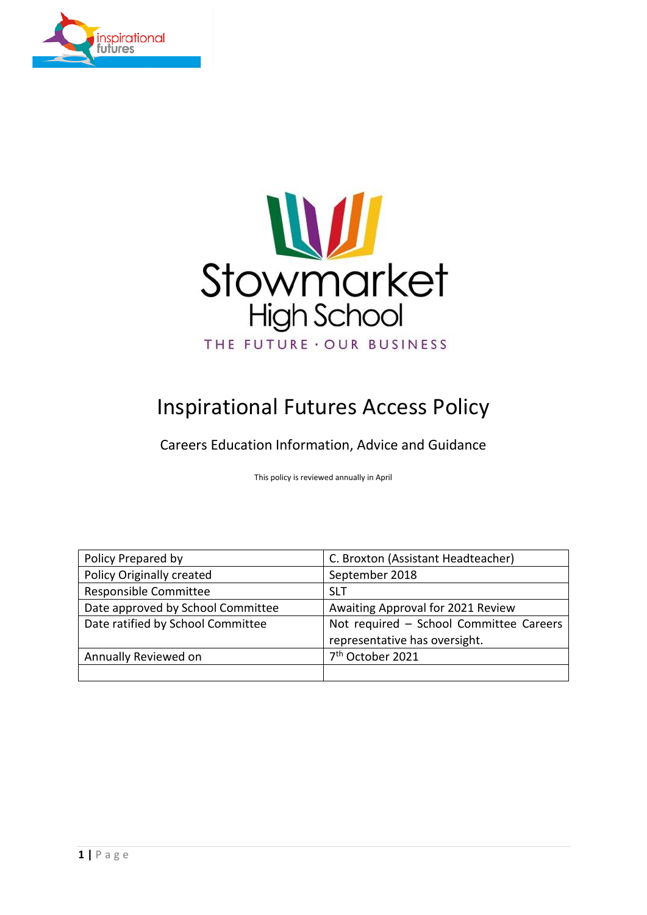



# Inspirational Futures Access Policy

Careers Education Information, Advice and Guidance

This policy is reviewed annually in April

| Policy Prepared by                | C. Broxton (Assistant Headteacher)      |  |  |
|-----------------------------------|-----------------------------------------|--|--|
| <b>Policy Originally created</b>  | September 2018                          |  |  |
| Responsible Committee             | <b>SLT</b>                              |  |  |
| Date approved by School Committee | Awaiting Approval for 2021 Review       |  |  |
| Date ratified by School Committee | Not required - School Committee Careers |  |  |
|                                   | representative has oversight.           |  |  |
| Annually Reviewed on              | 7 <sup>th</sup> October 2021            |  |  |
|                                   |                                         |  |  |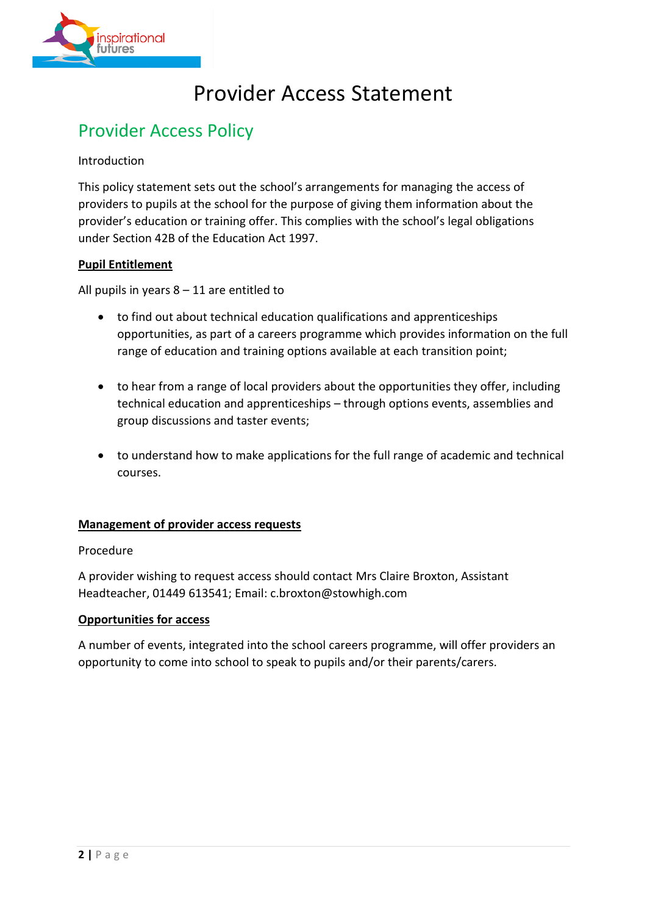

# Provider Access Statement

# Provider Access Policy

# Introduction

This policy statement sets out the school's arrangements for managing the access of providers to pupils at the school for the purpose of giving them information about the provider's education or training offer. This complies with the school's legal obligations under Section 42B of the Education Act 1997.

# **Pupil Entitlement**

All pupils in years  $8 - 11$  are entitled to

- to find out about technical education qualifications and apprenticeships opportunities, as part of a careers programme which provides information on the full range of education and training options available at each transition point;
- to hear from a range of local providers about the opportunities they offer, including technical education and apprenticeships – through options events, assemblies and group discussions and taster events;
- to understand how to make applications for the full range of academic and technical courses.

# **Management of provider access requests**

#### Procedure

A provider wishing to request access should contact Mrs Claire Broxton, Assistant Headteacher, 01449 613541; Email: c.broxton@stowhigh.com

#### **Opportunities for access**

A number of events, integrated into the school careers programme, will offer providers an opportunity to come into school to speak to pupils and/or their parents/carers.